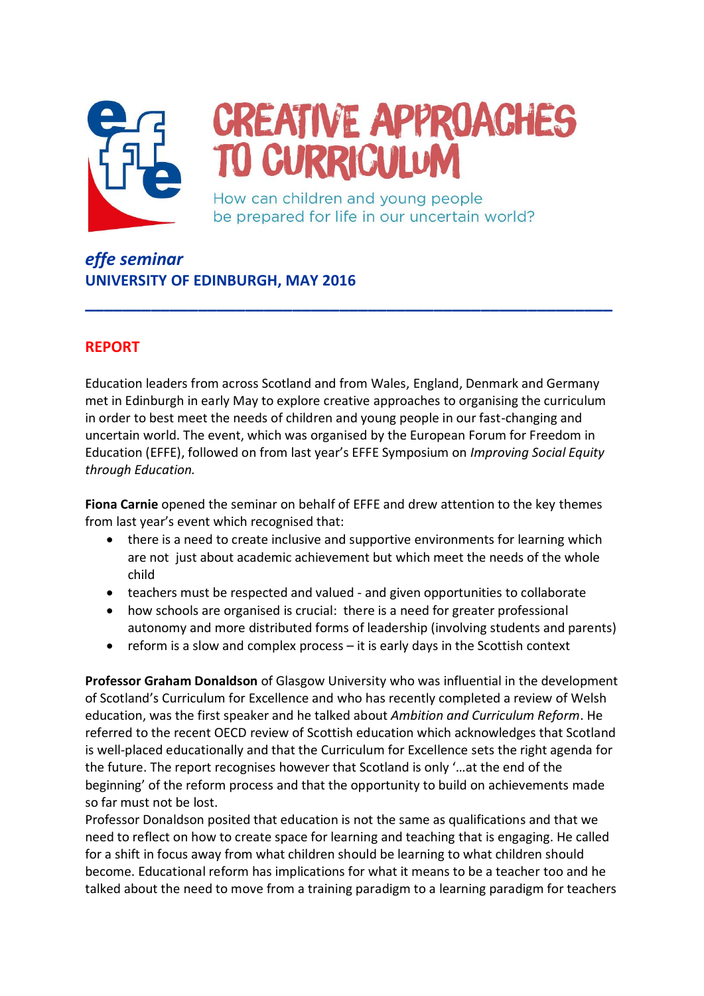

## **CREATIVE APPROACHES TO CURRICULUM**

How can children and young people be prepared for life in our uncertain world?

*effe seminar* **UNIVERSITY OF EDINBURGH, MAY 2016**

## **REPORT**

Education leaders from across Scotland and from Wales, England, Denmark and Germany met in Edinburgh in early May to explore creative approaches to organising the curriculum in order to best meet the needs of children and young people in our fast-changing and uncertain world. The event, which was organised by the European Forum for Freedom in Education (EFFE), followed on from last year's EFFE Symposium on *Improving Social Equity through Education.*

**\_\_\_\_\_\_\_\_\_\_\_\_\_\_\_\_\_\_\_\_\_\_\_\_\_\_\_\_\_\_\_\_\_\_\_\_\_\_\_\_\_\_\_\_\_\_\_\_\_\_\_\_\_\_\_\_**

**Fiona Carnie** opened the seminar on behalf of EFFE and drew attention to the key themes from last year's event which recognised that:

- $\bullet$  there is a need to create inclusive and supportive environments for learning which are not just about academic achievement but which meet the needs of the whole child
- teachers must be respected and valued and given opportunities to collaborate
- how schools are organised is crucial: there is a need for greater professional autonomy and more distributed forms of leadership (involving students and parents)
- $\bullet$  reform is a slow and complex process  $-$  it is early days in the Scottish context

**Professor Graham Donaldson** of Glasgow University who was influential in the development of Scotland's Curriculum for Excellence and who has recently completed a review of Welsh education, was the first speaker and he talked about *Ambition and Curriculum Reform*. He referred to the recent OECD review of Scottish education which acknowledges that Scotland is well-placed educationally and that the Curriculum for Excellence sets the right agenda for the future. The report recognises however that Scotland is only '…at the end of the beginning' of the reform process and that the opportunity to build on achievements made so far must not be lost.

Professor Donaldson posited that education is not the same as qualifications and that we need to reflect on how to create space for learning and teaching that is engaging. He called for a shift in focus away from what children should be learning to what children should become. Educational reform has implications for what it means to be a teacher too and he talked about the need to move from a training paradigm to a learning paradigm for teachers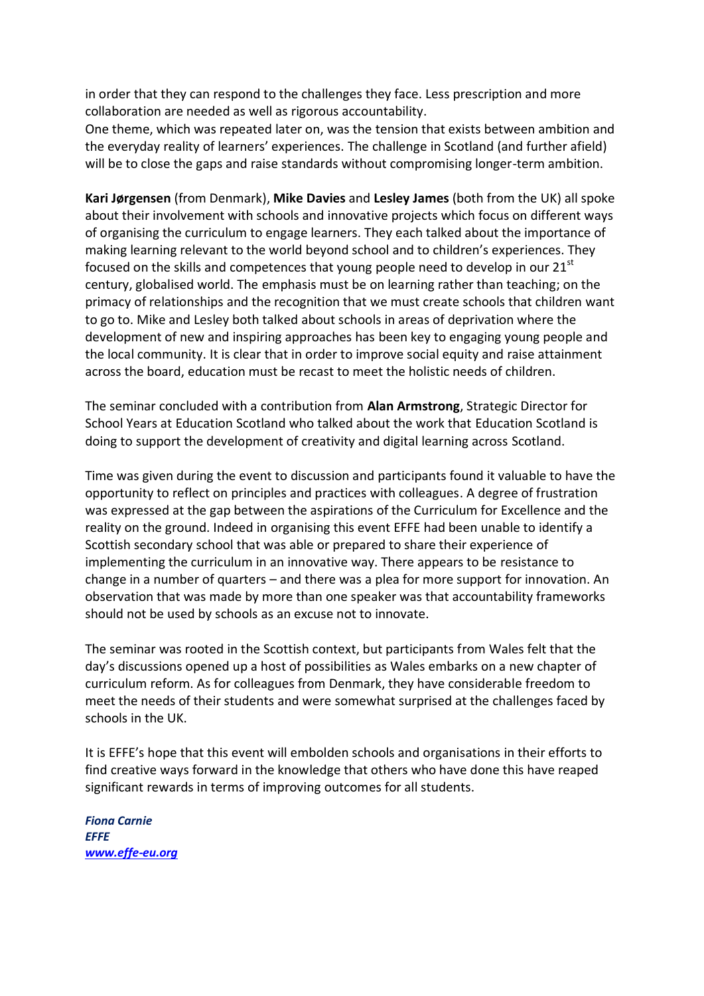in order that they can respond to the challenges they face. Less prescription and more collaboration are needed as well as rigorous accountability.

One theme, which was repeated later on, was the tension that exists between ambition and the everyday reality of learners' experiences. The challenge in Scotland (and further afield) will be to close the gaps and raise standards without compromising longer-term ambition.

**Kari Jørgensen** (from Denmark), **Mike Davies** and **Lesley James** (both from the UK) all spoke about their involvement with schools and innovative projects which focus on different ways of organising the curriculum to engage learners. They each talked about the importance of making learning relevant to the world beyond school and to children's experiences. They focused on the skills and competences that young people need to develop in our  $21<sup>st</sup>$ century, globalised world. The emphasis must be on learning rather than teaching; on the primacy of relationships and the recognition that we must create schools that children want to go to. Mike and Lesley both talked about schools in areas of deprivation where the development of new and inspiring approaches has been key to engaging young people and the local community. It is clear that in order to improve social equity and raise attainment across the board, education must be recast to meet the holistic needs of children.

The seminar concluded with a contribution from **Alan Armstrong**, Strategic Director for School Years at Education Scotland who talked about the work that Education Scotland is doing to support the development of creativity and digital learning across Scotland.

Time was given during the event to discussion and participants found it valuable to have the opportunity to reflect on principles and practices with colleagues. A degree of frustration was expressed at the gap between the aspirations of the Curriculum for Excellence and the reality on the ground. Indeed in organising this event EFFE had been unable to identify a Scottish secondary school that was able or prepared to share their experience of implementing the curriculum in an innovative way. There appears to be resistance to change in a number of quarters – and there was a plea for more support for innovation. An observation that was made by more than one speaker was that accountability frameworks should not be used by schools as an excuse not to innovate.

The seminar was rooted in the Scottish context, but participants from Wales felt that the day's discussions opened up a host of possibilities as Wales embarks on a new chapter of curriculum reform. As for colleagues from Denmark, they have considerable freedom to meet the needs of their students and were somewhat surprised at the challenges faced by schools in the UK.

It is EFFE's hope that this event will embolden schools and organisations in their efforts to find creative ways forward in the knowledge that others who have done this have reaped significant rewards in terms of improving outcomes for all students.

*Fiona Carnie EFFE [www.effe-eu.org](http://www.effe-eu.org/)*